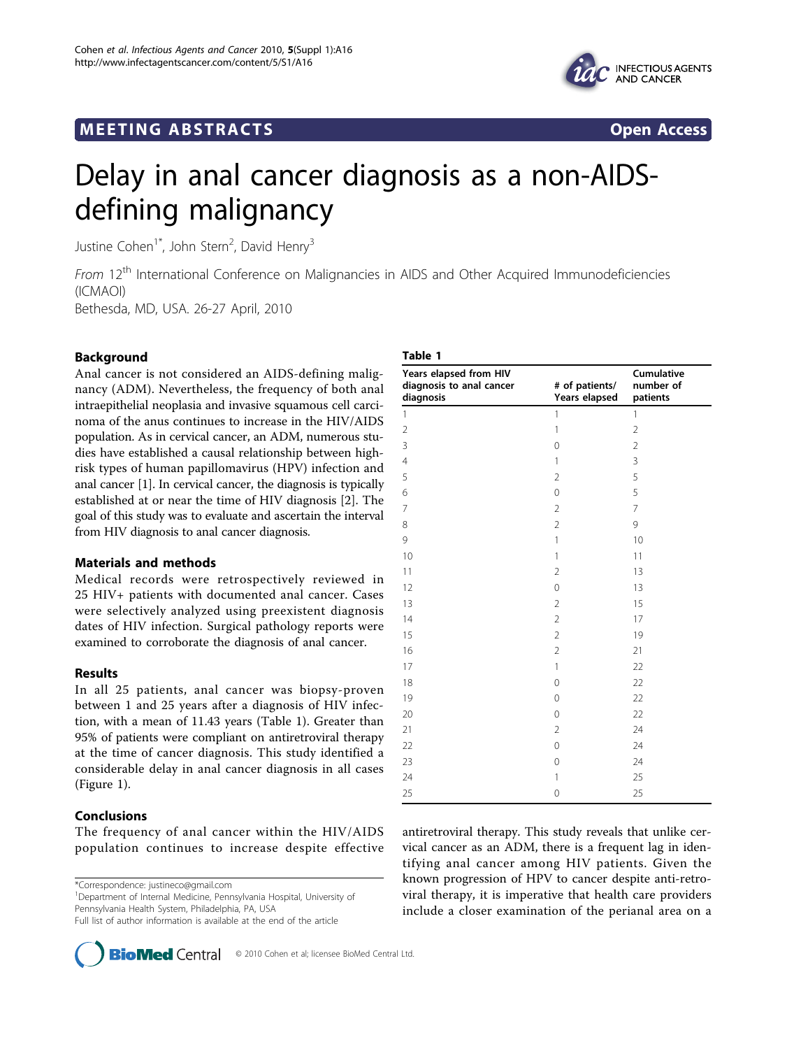# **MEETING ABSTRACTS** And the state of the state of the state of the state of the state of the state of the state of the state of the state of the state of the state of the state of the state of the state of the state of the



# Delay in anal cancer diagnosis as a non-AIDSdefining malignancy

Justine Cohen<sup>1\*</sup>, John Stern<sup>2</sup>, David Henry<sup>3</sup>

From 12<sup>th</sup> International Conference on Malignancies in AIDS and Other Acquired Immunodeficiencies (ICMAOI)

Bethesda, MD, USA. 26-27 April, 2010

# Background

Anal cancer is not considered an AIDS-defining malignancy (ADM). Nevertheless, the frequency of both anal intraepithelial neoplasia and invasive squamous cell carcinoma of the anus continues to increase in the HIV/AIDS population. As in cervical cancer, an ADM, numerous studies have established a causal relationship between highrisk types of human papillomavirus (HPV) infection and anal cancer [1]. In cervical cancer, the diagnosis is typically established at or near the time of HIV diagnosis [2]. The goal of this study was to evaluate and ascertain the interval from HIV diagnosis to anal cancer diagnosis.

## Materials and methods

Medical records were retrospectively reviewed in 25 HIV+ patients with documented anal cancer. Cases were selectively analyzed using preexistent diagnosis dates of HIV infection. Surgical pathology reports were examined to corroborate the diagnosis of anal cancer.

## Results

In all 25 patients, anal cancer was biopsy-proven between 1 and 25 years after a diagnosis of HIV infection, with a mean of 11.43 years (Table 1). Greater than 95% of patients were compliant on antiretroviral therapy at the time of cancer diagnosis. This study identified a considerable delay in anal cancer diagnosis in all cases (Figure [1\)](#page-1-0).

## Conclusions

The frequency of anal cancer within the HIV/AIDS population continues to increase despite effective

\*Correspondence: [justineco@gmail.com](mailto:justineco@gmail.com)

<sup>1</sup>Department of Internal Medicine, Pennsylvania Hospital, University of Pennsylvania Health System, Philadelphia, PA, USA

Full list of author information is available at the end of the article



| Table 1                                                         |                                 |                                     |
|-----------------------------------------------------------------|---------------------------------|-------------------------------------|
| Years elapsed from HIV<br>diagnosis to anal cancer<br>diagnosis | # of patients/<br>Years elapsed | Cumulative<br>number of<br>patients |
| $\mathbf{1}$                                                    | $\mathbf{1}$                    | $\mathbf{1}$                        |
| $\overline{2}$                                                  | $\mathbf{1}$                    | $\overline{2}$                      |
| 3                                                               | $\mathbf 0$                     | $\overline{2}$                      |
| $\overline{4}$                                                  | 1                               | 3                                   |
| 5                                                               | $\overline{2}$                  | 5                                   |
| 6                                                               | 0                               | 5                                   |
| $\overline{7}$                                                  | $\overline{2}$                  | 7                                   |
| 8                                                               | $\overline{2}$                  | 9                                   |
| 9                                                               | 1                               | 10                                  |
| 10                                                              | $\mathbf{1}$                    | 11                                  |
| 11                                                              | $\overline{2}$                  | 13                                  |
| 12                                                              | $\mathbf 0$                     | 13                                  |
| 13                                                              | $\overline{2}$                  | 15                                  |
| 14                                                              | $\overline{2}$                  | 17                                  |
| 15                                                              | $\overline{2}$                  | 19                                  |
| 16                                                              | $\overline{2}$                  | 21                                  |
| 17                                                              | $\mathbf{1}$                    | 22                                  |
| 18                                                              | 0                               | 22                                  |
| 19                                                              | 0                               | 22                                  |
| 20                                                              | $\mathbf 0$                     | 22                                  |
| 21                                                              | $\overline{2}$                  | 24                                  |
| 22                                                              | 0                               | 24                                  |
| 23                                                              | $\mathbf 0$                     | 24                                  |
| 24                                                              | 1                               | 25                                  |
| 25                                                              | $\mathbf 0$                     | 25                                  |

antiretroviral therapy. This study reveals that unlike cervical cancer as an ADM, there is a frequent lag in identifying anal cancer among HIV patients. Given the known progression of HPV to cancer despite anti-retroviral therapy, it is imperative that health care providers include a closer examination of the perianal area on a